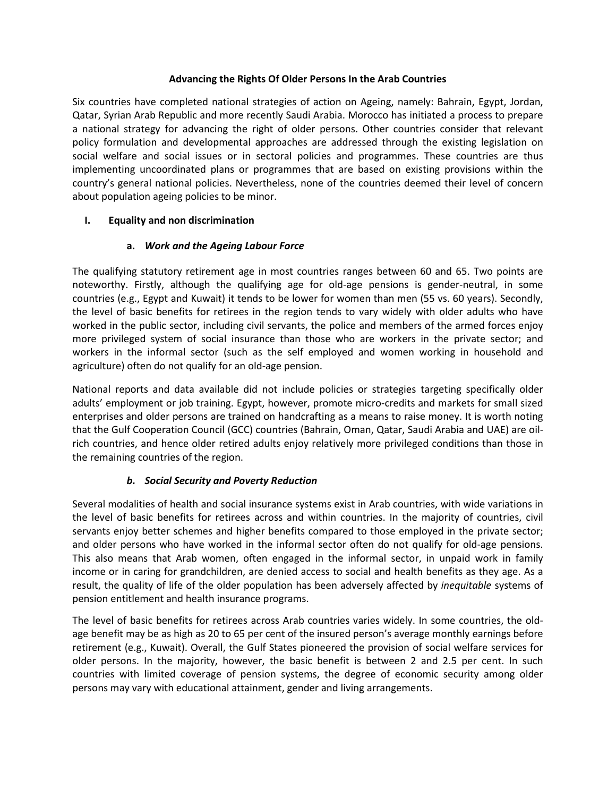### **Advancing the Rights Of Older Persons In the Arab Countries**

Six countries have completed national strategies of action on Ageing, namely: Bahrain, Egypt, Jordan, Qatar, Syrian Arab Republic and more recently Saudi Arabia. Morocco has initiated a process to prepare a national strategy for advancing the right of older persons. Other countries consider that relevant policy formulation and developmental approaches are addressed through the existing legislation on social welfare and social issues or in sectoral policies and programmes. These countries are thus implementing uncoordinated plans or programmes that are based on existing provisions within the country's general national policies. Nevertheless, none of the countries deemed their level of concern about population ageing policies to be minor.

# **I. Equality and non discrimination**

# **a.** *Work and the Ageing Labour Force*

The qualifying statutory retirement age in most countries ranges between 60 and 65. Two points are noteworthy. Firstly, although the qualifying age for old-age pensions is gender-neutral, in some countries (e.g., Egypt and Kuwait) it tends to be lower for women than men (55 vs. 60 years). Secondly, the level of basic benefits for retirees in the region tends to vary widely with older adults who have worked in the public sector, including civil servants, the police and members of the armed forces enjoy more privileged system of social insurance than those who are workers in the private sector; and workers in the informal sector (such as the self employed and women working in household and agriculture) often do not qualify for an old-age pension.

National reports and data available did not include policies or strategies targeting specifically older adults' employment or job training. Egypt, however, promote micro-credits and markets for small sized enterprises and older persons are trained on handcrafting as a means to raise money. It is worth noting that the Gulf Cooperation Council (GCC) countries (Bahrain, Oman, Qatar, Saudi Arabia and UAE) are oilrich countries, and hence older retired adults enjoy relatively more privileged conditions than those in the remaining countries of the region.

# *b. Social Security and Poverty Reduction*

Several modalities of health and social insurance systems exist in Arab countries, with wide variations in the level of basic benefits for retirees across and within countries. In the majority of countries, civil servants enjoy better schemes and higher benefits compared to those employed in the private sector; and older persons who have worked in the informal sector often do not qualify for old-age pensions. This also means that Arab women, often engaged in the informal sector, in unpaid work in family income or in caring for grandchildren, are denied access to social and health benefits as they age. As a result, the quality of life of the older population has been adversely affected by *inequitable* systems of pension entitlement and health insurance programs.

The level of basic benefits for retirees across Arab countries varies widely. In some countries, the oldage benefit may be as high as 20 to 65 per cent of the insured person's average monthly earnings before retirement (e.g., Kuwait). Overall, the Gulf States pioneered the provision of social welfare services for older persons. In the majority, however, the basic benefit is between 2 and 2.5 per cent. In such countries with limited coverage of pension systems, the degree of economic security among older persons may vary with educational attainment, gender and living arrangements.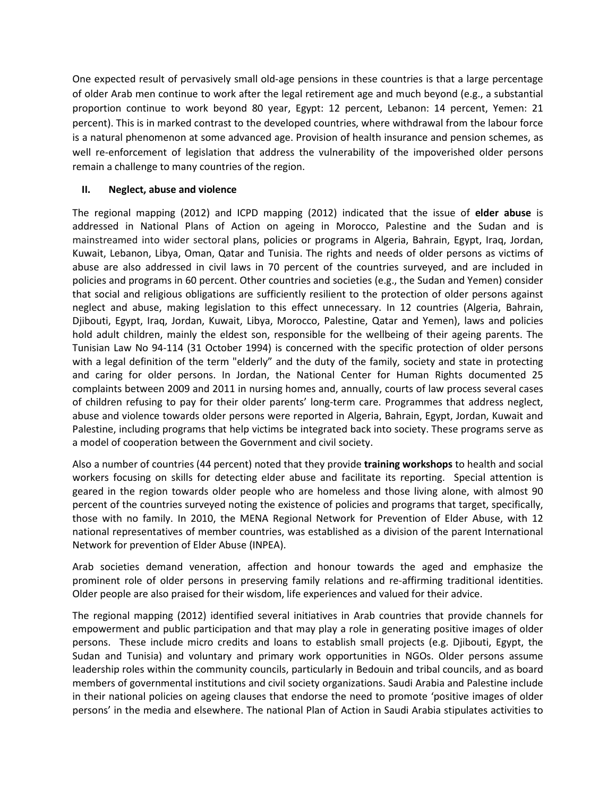One expected result of pervasively small old-age pensions in these countries is that a large percentage of older Arab men continue to work after the legal retirement age and much beyond (e.g., a substantial proportion continue to work beyond 80 year, Egypt: 12 percent, Lebanon: 14 percent, Yemen: 21 percent). This is in marked contrast to the developed countries, where withdrawal from the labour force is a natural phenomenon at some advanced age. Provision of health insurance and pension schemes, as well re-enforcement of legislation that address the vulnerability of the impoverished older persons remain a challenge to many countries of the region.

### **II. Neglect, abuse and violence**

The regional mapping (2012) and ICPD mapping (2012) indicated that the issue of **elder abuse** is addressed in National Plans of Action on ageing in Morocco, Palestine and the Sudan and is mainstreamed into wider sectoral plans, policies or programs in Algeria, Bahrain, Egypt, Iraq, Jordan, Kuwait, Lebanon, Libya, Oman, Qatar and Tunisia. The rights and needs of older persons as victims of abuse are also addressed in civil laws in 70 percent of the countries surveyed, and are included in policies and programs in 60 percent. Other countries and societies (e.g., the Sudan and Yemen) consider that social and religious obligations are sufficiently resilient to the protection of older persons against neglect and abuse, making legislation to this effect unnecessary. In 12 countries (Algeria, Bahrain, Djibouti, Egypt, Iraq, Jordan, Kuwait, Libya, Morocco, Palestine, Qatar and Yemen), laws and policies hold adult children, mainly the eldest son, responsible for the wellbeing of their ageing parents. The Tunisian Law No 94-114 (31 October 1994) is concerned with the specific protection of older persons with a legal definition of the term "elderly" and the duty of the family, society and state in protecting and caring for older persons. In Jordan, the National Center for Human Rights documented 25 complaints between 2009 and 2011 in nursing homes and, annually, courts of law process several cases of children refusing to pay for their older parents' long-term care. Programmes that address neglect, abuse and violence towards older persons were reported in Algeria, Bahrain, Egypt, Jordan, Kuwait and Palestine, including programs that help victims be integrated back into society. These programs serve as a model of cooperation between the Government and civil society.

Also a number of countries (44 percent) noted that they provide **training workshops** to health and social workers focusing on skills for detecting elder abuse and facilitate its reporting. Special attention is geared in the region towards older people who are homeless and those living alone, with almost 90 percent of the countries surveyed noting the existence of policies and programs that target, specifically, those with no family. In 2010, the MENA Regional Network for Prevention of Elder Abuse, with 12 national representatives of member countries, was established as a division of the parent International Network for prevention of Elder Abuse (INPEA).

Arab societies demand veneration, affection and honour towards the aged and emphasize the prominent role of older persons in preserving family relations and re-affirming traditional identities. Older people are also praised for their wisdom, life experiences and valued for their advice.

The regional mapping (2012) identified several initiatives in Arab countries that provide channels for empowerment and public participation and that may play a role in generating positive images of older persons. These include micro credits and loans to establish small projects (e.g. Djibouti, Egypt, the Sudan and Tunisia) and voluntary and primary work opportunities in NGOs. Older persons assume leadership roles within the community councils, particularly in Bedouin and tribal councils, and as board members of governmental institutions and civil society organizations. Saudi Arabia and Palestine include in their national policies on ageing clauses that endorse the need to promote 'positive images of older persons' in the media and elsewhere. The national Plan of Action in Saudi Arabia stipulates activities to